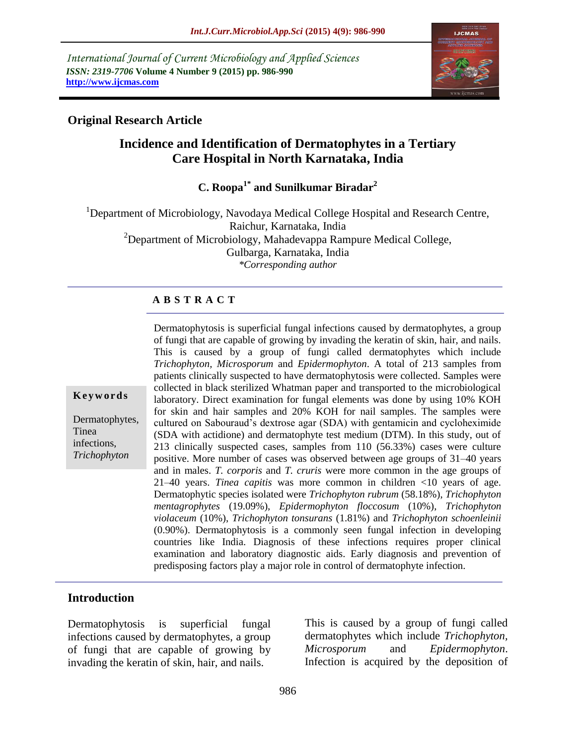*International Journal of Current Microbiology and Applied Sciences ISSN: 2319-7706* **Volume 4 Number 9 (2015) pp. 986-990 http://www.ijcmas.com**



### **Original Research Article**

# **Incidence and Identification of Dermatophytes in a Tertiary Care Hospital in North Karnataka, India**

**C. Roopa1\* and Sunilkumar Biradar<sup>2</sup>**

<sup>1</sup>Department of Microbiology, Navodaya Medical College Hospital and Research Centre, Raichur, Karnataka, India  $2D$ epartment of Microbiology, Mahadevappa Rampure Medical College, Gulbarga, Karnataka, India *\*Corresponding author*

#### **A B S T R A C T**

**K e y w o r d s**

Dermatophytes, Tinea infections, *Trichophyton*

Dermatophytosis is superficial fungal infections caused by dermatophytes, a group of fungi that are capable of growing by invading the keratin of skin, hair, and nails. This is caused by a group of fungi called dermatophytes which include *Trichophyton, Microsporum* and *Epidermophyton*. A total of 213 samples from patients clinically suspected to have dermatophytosis were collected. Samples were collected in black sterilized Whatman paper and transported to the microbiological laboratory. Direct examination for fungal elements was done by using 10% KOH for skin and hair samples and 20% KOH for nail samples. The samples were cultured on Sabouraud's dextrose agar (SDA) with gentamicin and cycloheximide (SDA with actidione) and dermatophyte test medium (DTM). In this study, out of 213 clinically suspected cases, samples from 110 (56.33%) cases were culture positive. More number of cases was observed between age groups of 31–40 years and in males. *T. corporis* and *T. cruris* were more common in the age groups of 21–40 years. *Tinea capitis* was more common in children <10 years of age. Dermatophytic species isolated were *Trichophyton rubrum* (58.18%), *Trichophyton mentagrophytes* (19.09%), *Epidermophyton floccosum* (10%), *Trichophyton violaceum* (10%), *Trichophyton tonsurans* (1.81%) and *Trichophyton schoenleinii* (0.90%). Dermatophytosis is a commonly seen fungal infection in developing countries like India. Diagnosis of these infections requires proper clinical examination and laboratory diagnostic aids. Early diagnosis and prevention of predisposing factors play a major role in control of dermatophyte infection.

#### **Introduction**

Dermatophytosis is superficial fungal infections caused by dermatophytes, a group of fungi that are capable of growing by invading the keratin of skin, hair, and nails.

This is caused by a group of fungi called dermatophytes which include *Trichophyton, Microsporum* and *Epidermophyton*. Infection is acquired by the deposition of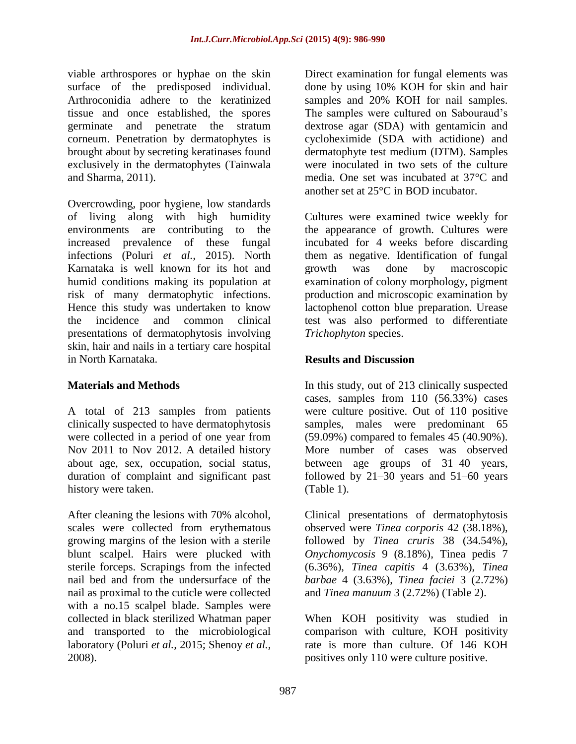viable arthrospores or hyphae on the skin surface of the predisposed individual. Arthroconidia adhere to the keratinized tissue and once established, the spores germinate and penetrate the stratum corneum. Penetration by dermatophytes is brought about by secreting keratinases found exclusively in the dermatophytes (Tainwala and Sharma, 2011).

Overcrowding, poor hygiene, low standards of living along with high humidity environments are contributing to the increased prevalence of these fungal infections (Poluri *et al.,* 2015). North Karnataka is well known for its hot and humid conditions making its population at risk of many dermatophytic infections. Hence this study was undertaken to know the incidence and common clinical presentations of dermatophytosis involving skin, hair and nails in a tertiary care hospital in North Karnataka.

## **Materials and Methods**

A total of 213 samples from patients clinically suspected to have dermatophytosis were collected in a period of one year from Nov 2011 to Nov 2012. A detailed history about age, sex, occupation, social status, duration of complaint and significant past history were taken.

After cleaning the lesions with 70% alcohol, scales were collected from erythematous growing margins of the lesion with a sterile blunt scalpel. Hairs were plucked with sterile forceps. Scrapings from the infected nail bed and from the undersurface of the nail as proximal to the cuticle were collected with a no.15 scalpel blade. Samples were collected in black sterilized Whatman paper and transported to the microbiological laboratory (Poluri *et al.,* 2015; Shenoy *et al.,* 2008).

Direct examination for fungal elements was done by using 10% KOH for skin and hair samples and 20% KOH for nail samples. The samples were cultured on Sabouraud's dextrose agar (SDA) with gentamicin and cycloheximide (SDA with actidione) and dermatophyte test medium (DTM). Samples were inoculated in two sets of the culture media. One set was incubated at 37°C and another set at 25°C in BOD incubator.

Cultures were examined twice weekly for the appearance of growth. Cultures were incubated for 4 weeks before discarding them as negative. Identification of fungal growth was done by macroscopic examination of colony morphology, pigment production and microscopic examination by lactophenol cotton blue preparation. Urease test was also performed to differentiate *Trichophyton* species.

## **Results and Discussion**

In this study, out of 213 clinically suspected cases, samples from 110 (56.33%) cases were culture positive. Out of 110 positive samples, males were predominant 65 (59.09%) compared to females 45 (40.90%). More number of cases was observed between age groups of 31–40 years, followed by 21–30 years and 51–60 years (Table 1).

Clinical presentations of dermatophytosis observed were *Tinea corporis* 42 (38.18%), followed by *Tinea cruris* 38 (34.54%), *Onychomycosis* 9 (8.18%), Tinea pedis 7 (6.36%), *Tinea capitis* 4 (3.63%), *Tinea barbae* 4 (3.63%), *Tinea faciei* 3 (2.72%) and *Tinea manuum* 3 (2.72%) (Table 2).

When KOH positivity was studied in comparison with culture, KOH positivity rate is more than culture. Of 146 KOH positives only 110 were culture positive.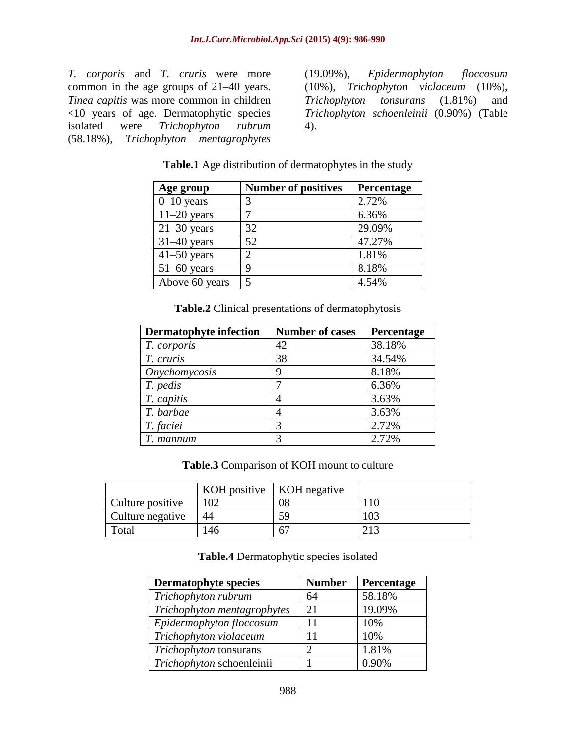*T. corporis* and *T. cruris* were more common in the age groups of 21–40 years. *Tinea capitis* was more common in children <10 years of age. Dermatophytic species isolated were *Trichophyton rubrum* (58.18%), *Trichophyton mentagrophytes*

(19.09%), *Epidermophyton floccosum* (10%), *Trichophyton violaceum* (10%), *Trichophyton tonsurans* (1.81%) and *Trichophyton schoenleinii* (0.90%) (Table 4).

| <b>Table.1</b> Age distribution of dermatophytes in the study |  |
|---------------------------------------------------------------|--|
|                                                               |  |

| Age group       | <b>Number of positives</b> | Percentage |
|-----------------|----------------------------|------------|
| $0-10$ years    | 3                          | 2.72%      |
| $11-20$ years   | 7                          | 6.36%      |
| $21 - 30$ years | 32                         | 29.09%     |
| $31-40$ years   | 52                         | 47.27%     |
| $41 - 50$ years | 2                          | 1.81%      |
| $51-60$ years   | 9                          | 8.18%      |
| Above 60 years  | 5                          | 4.54%      |

**Table.2** Clinical presentations of dermatophytosis

| <b>Dermatophyte infection</b> | <b>Number of cases</b> | Percentage |
|-------------------------------|------------------------|------------|
| T. corporis                   | 42                     | 38.18%     |
| T. cruris                     | 38                     | 34.54%     |
| Onychomycosis                 | y                      | 8.18%      |
| T. pedis                      |                        | 6.36%      |
| T. capitis                    |                        | 3.63%      |
| T. barbae                     |                        | 3.63%      |
| T. faciei                     |                        | 2.72%      |
| T. mannum                     |                        | 2.72%      |

**Table.3** Comparison of KOH mount to culture

|                  | KOH positive $\vert$ KOH negative |                |    |
|------------------|-----------------------------------|----------------|----|
| Culture positive |                                   | 08             | 10 |
| Culture negative | 44                                | 59             |    |
| Total            | 46                                | 6 <sup>7</sup> |    |

#### **Table.4** Dermatophytic species isolated

| <b>Dermatophyte species</b> | <b>Number</b> | Percentage |
|-----------------------------|---------------|------------|
| Trichophyton rubrum         | 64            | 58.18%     |
| Trichophyton mentagrophytes | 21            | 19.09%     |
| Epidermophyton floccosum    | 11            | 10%        |
| Trichophyton violaceum      | 11            | 10%        |
| Trichophyton tonsurans      | റ             | 1.81%      |
| Trichophyton schoenleinii   |               | 0.90%      |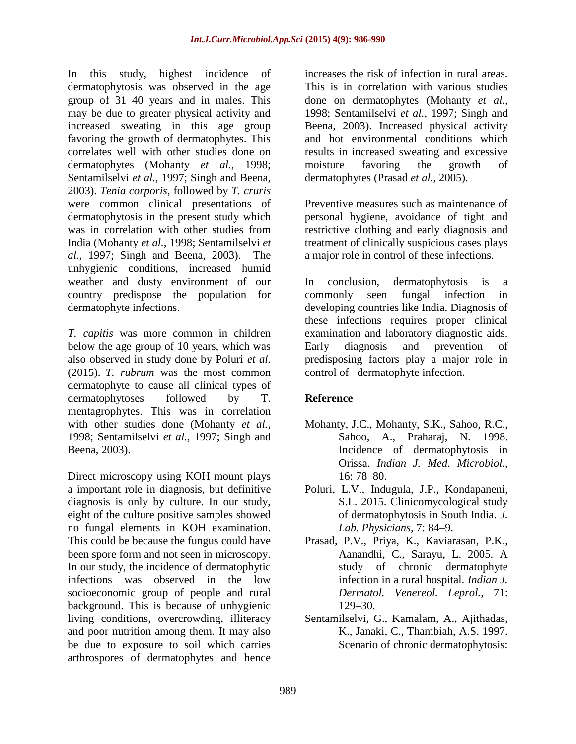In this study, highest incidence of dermatophytosis was observed in the age group of 31–40 years and in males. This may be due to greater physical activity and increased sweating in this age group favoring the growth of dermatophytes. This correlates well with other studies done on dermatophytes (Mohanty *et al.,* 1998; Sentamilselvi *et al.,* 1997; Singh and Beena, 2003). *Tenia corporis*, followed by *T. cruris* were common clinical presentations of dermatophytosis in the present study which was in correlation with other studies from India (Mohanty *et al.,* 1998; Sentamilselvi *et al.,* 1997; Singh and Beena, 2003). The unhygienic conditions, increased humid weather and dusty environment of our country predispose the population for dermatophyte infections.

*T. capitis* was more common in children below the age group of 10 years, which was also observed in study done by Poluri *et al.*  (2015). *T. rubrum* was the most common dermatophyte to cause all clinical types of dermatophytoses followed by T. mentagrophytes. This was in correlation with other studies done (Mohanty *et al.,* 1998; Sentamilselvi *et al.,* 1997; Singh and Beena, 2003).

Direct microscopy using KOH mount plays a important role in diagnosis, but definitive diagnosis is only by culture. In our study, eight of the culture positive samples showed no fungal elements in KOH examination. This could be because the fungus could have been spore form and not seen in microscopy. In our study, the incidence of dermatophytic infections was observed in the low socioeconomic group of people and rural background. This is because of unhygienic living conditions, overcrowding, illiteracy and poor nutrition among them. It may also be due to exposure to soil which carries arthrospores of dermatophytes and hence

increases the risk of infection in rural areas. This is in correlation with various studies done on dermatophytes (Mohanty *et al.,* 1998; Sentamilselvi *et al.,* 1997; Singh and Beena, 2003). Increased physical activity and hot environmental conditions which results in increased sweating and excessive moisture favoring the growth of dermatophytes (Prasad *et al.,* 2005).

Preventive measures such as maintenance of personal hygiene, avoidance of tight and restrictive clothing and early diagnosis and treatment of clinically suspicious cases plays a major role in control of these infections.

In conclusion, dermatophytosis is a commonly seen fungal infection in developing countries like India. Diagnosis of these infections requires proper clinical examination and laboratory diagnostic aids. Early diagnosis and prevention of predisposing factors play a major role in control of dermatophyte infection.

# **Reference**

- Mohanty, J.C., Mohanty, S.K., Sahoo, R.C., Sahoo, A., Praharaj, N. 1998. Incidence of dermatophytosis in Orissa. *Indian J. Med. Microbiol.,* 16: 78–80.
- Poluri, L.V., Indugula, J.P., Kondapaneni, S.L. 2015. Clinicomycological study of dermatophytosis in South India. *J. Lab. Physicians,* 7: 84–9.
- Prasad, P.V., Priya, K., Kaviarasan, P.K., Aanandhi, C., Sarayu, L. 2005. A study of chronic dermatophyte infection in a rural hospital. *Indian J. Dermatol. Venereol. Leprol.,* 71: 129–30.
- Sentamilselvi, G., Kamalam, A., Ajithadas, K., Janaki, C., Thambiah, A.S. 1997. Scenario of chronic dermatophytosis: